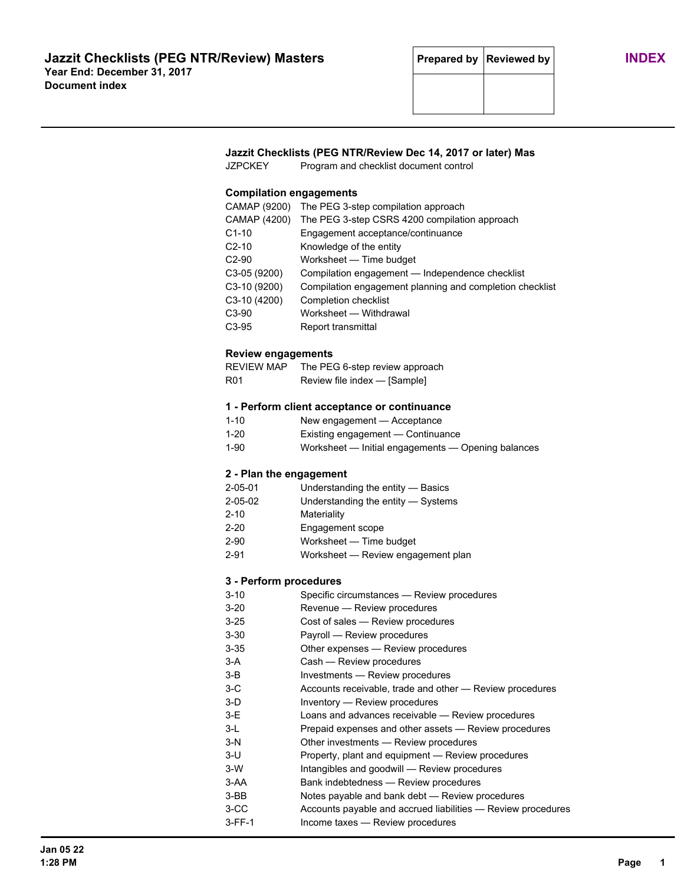# **Jazzit Checklists (PEG NTR/Review Dec 14, 2017 or later) Mas**

JZPCKEY Program and checklist document control

### **Compilation engagements**

| CAMAP (9200)       | The PEG 3-step compilation approach                      |
|--------------------|----------------------------------------------------------|
| CAMAP (4200)       | The PEG 3-step CSRS 4200 compilation approach            |
| $C1-10$            | Engagement acceptance/continuance                        |
| $C2-10$            | Knowledge of the entity                                  |
| $C2-90$            | Worksheet - Time budget                                  |
| $C3-05(9200)$      | Compilation engagement — Independence checklist          |
| C3-10 (9200)       | Compilation engagement planning and completion checklist |
| $C3-10(4200)$      | <b>Completion checklist</b>                              |
| C <sub>3</sub> -90 | Worksheet - Withdrawal                                   |
| C <sub>3</sub> -95 | Report transmittal                                       |

#### **Review engagements**

| <b>REVIEW MAP</b> | The PEG 6-step review approach |
|-------------------|--------------------------------|
| R <sub>01</sub>   | Review file index — [Sample]   |

## **1 - Perform client acceptance or continuance**

| $1 - 10$ | New engagement - Acceptance                        |
|----------|----------------------------------------------------|
| $1 - 20$ | Existing engagement — Continuance                  |
| 1-90     | Worksheet — Initial engagements — Opening balances |

### **2 - Plan the engagement**

| $2 - 05 - 01$ | Understanding the entity - Basics |  |
|---------------|-----------------------------------|--|
|               |                                   |  |

- 2-05-02 Understanding the entity Systems
	- 2-10 Materiality
	- 2-20 Engagement scope
- 2-90 Worksheet Time budget
- 2-91 Worksheet Review engagement plan

### **3 - Perform procedures**

| $3 - 10$ | Specific circumstances - Review procedures                   |
|----------|--------------------------------------------------------------|
| $3 - 20$ | Revenue - Review procedures                                  |
| $3 - 25$ | Cost of sales - Review procedures                            |
| $3 - 30$ | Payroll — Review procedures                                  |
| $3 - 35$ | Other expenses — Review procedures                           |
| $3-A$    | Cash - Review procedures                                     |
| $3-B$    | Investments — Review procedures                              |
| $3-C$    | Accounts receivable, trade and other – Review procedures     |
| $3-D$    | Inventory - Review procedures                                |
| $3-E$    | Loans and advances receivable - Review procedures            |
| $3-L$    | Prepaid expenses and other assets — Review procedures        |
| $3-N$    | Other investments — Review procedures                        |
| $3-U$    | Property, plant and equipment — Review procedures            |
| $3-W$    | Intangibles and goodwill — Review procedures                 |
| 3-AA     | Bank indebtedness - Review procedures                        |
| 3-BB     | Notes payable and bank debt — Review procedures              |
| 3-CC     | Accounts payable and accrued liabilities - Review procedures |
| $3-FF-1$ | Income taxes - Review procedures                             |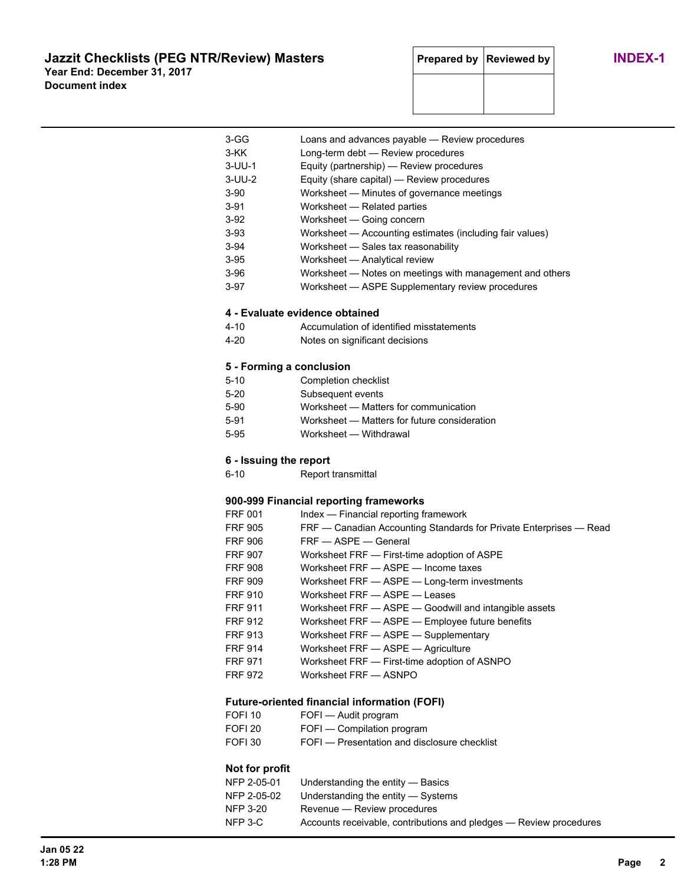# **Jazzit Checklists (PEG NTR/Review) Masters Prepared by Reviewed by INDEX-1 Year End: December 31, 2017 Document index**

| 3-GG                     | Loans and advances payable - Review procedures                     |
|--------------------------|--------------------------------------------------------------------|
| 3-KK                     | Long-term debt - Review procedures                                 |
| 3-UU-1                   | Equity (partnership) - Review procedures                           |
| $3-UU-2$                 | Equity (share capital) - Review procedures                         |
| 3-90                     | Worksheet - Minutes of governance meetings                         |
| 3-91                     | Worksheet - Related parties                                        |
| 3-92                     | Worksheet - Going concern                                          |
| 3-93                     | Worksheet - Accounting estimates (including fair values)           |
| 3-94                     | Worksheet - Sales tax reasonability                                |
| $3-95$                   | Worksheet - Analytical review                                      |
| 3-96                     | Worksheet - Notes on meetings with management and others           |
| $3-97$                   | Worksheet - ASPE Supplementary review procedures                   |
|                          | 4 - Evaluate evidence obtained                                     |
| 4-10                     | Accumulation of identified misstatements                           |
| 4-20                     | Notes on significant decisions                                     |
|                          |                                                                    |
| 5 - Forming a conclusion |                                                                    |
| $5 - 10$                 | Completion checklist                                               |
| $5-20$                   | Subsequent events                                                  |
| 5-90                     | Worksheet - Matters for communication                              |
| 5-91                     | Worksheet - Matters for future consideration                       |
| 5-95                     | Worksheet - Withdrawal                                             |
| 6 - Issuing the report   |                                                                    |
| 6-10                     | Report transmittal                                                 |
|                          |                                                                    |
|                          | 900-999 Financial reporting frameworks                             |
| FRF 001                  | Index - Financial reporting framework                              |
| <b>FRF 905</b>           | FRF - Canadian Accounting Standards for Private Enterprises - Read |
| FRF 906                  | FRF - ASPE - General                                               |
| FRF 907                  | Worksheet FRF - First-time adoption of ASPE                        |
| <b>FRF 908</b>           | Worksheet FRF - ASPF - Income taxes                                |
| <b>FRF 909</b>           | Worksheet FRF - ASPE - Long-term investments                       |
| FRF 910                  | Worksheet FRF - ASPE - Leases                                      |
| <b>FRF 911</b>           | Worksheet FRF - ASPE - Goodwill and intangible assets              |
| <b>FRF 912</b>           | Worksheet FRF - ASPE - Employee future benefits                    |
| <b>FRF 913</b>           | Worksheet FRF - ASPE - Supplementary                               |
| <b>FRF 914</b>           | Worksheet FRF - ASPE - Agriculture                                 |
| <b>FRF 971</b>           | Worksheet FRF - First-time adoption of ASNPO                       |
| <b>FRF 972</b>           | Worksheet FRF - ASNPO                                              |
|                          | <b>Future-oriented financial information (FOFI)</b>                |
| FOFI <sub>10</sub>       | FOFI - Audit program                                               |
| FOFI <sub>20</sub>       | FOFI - Compilation program                                         |
| FOFI <sub>30</sub>       | FOFI - Presentation and disclosure checklist                       |
|                          |                                                                    |
| Not for profit           |                                                                    |
| NFP 2-05-01              | Understanding the entity - Basics                                  |
| NFP 2-05-02              | Understanding the entity - Systems                                 |
| <b>NFP 3-20</b>          | Revenue - Review procedures                                        |
| NFP 3-C                  | Accounts receivable, contributions and pledges - Review procedures |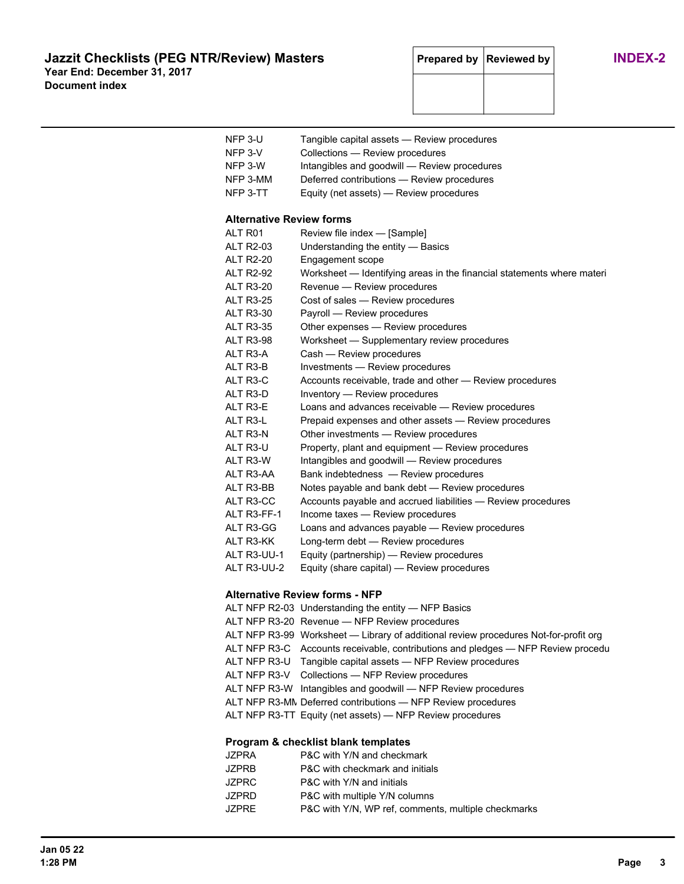| NFP 3-U<br>$NFP 3-V$<br>NFP 3-W<br>NFP 3-MM<br>NFP 3-TT | Tangible capital assets - Review procedures<br>Collections - Review procedures<br>Intangibles and goodwill - Review procedures<br>Deferred contributions - Review procedures<br>Equity (net assets) - Review procedures |
|---------------------------------------------------------|-------------------------------------------------------------------------------------------------------------------------------------------------------------------------------------------------------------------------|
| <b>Alternative Review forms</b>                         |                                                                                                                                                                                                                         |
| AI T R01                                                | Review file index - [Sample]                                                                                                                                                                                            |
| <b>ALT R2-03</b>                                        | Understanding the entity - Basics                                                                                                                                                                                       |
| <b>ALT R2-20</b>                                        | Engagement scope                                                                                                                                                                                                        |
| <b>ALT R2-92</b>                                        | Worksheet - Identifying areas in the financial statements where materi                                                                                                                                                  |
| ALT R3-20                                               | Revenue - Review procedures                                                                                                                                                                                             |
| <b>ALT R3-25</b>                                        | Cost of sales - Review procedures                                                                                                                                                                                       |
| <b>ALT R3-30</b>                                        | Payroll - Review procedures                                                                                                                                                                                             |
| <b>ALT R3-35</b>                                        | Other expenses - Review procedures                                                                                                                                                                                      |
| <b>ALT R3-98</b>                                        | Worksheet - Supplementary review procedures                                                                                                                                                                             |
| ALT R3-A                                                | Cash - Review procedures                                                                                                                                                                                                |
| ALT R3-B                                                | Investments - Review procedures                                                                                                                                                                                         |
| ALT R3-C                                                | Accounts receivable, trade and other - Review procedures                                                                                                                                                                |
| ALT R3-D                                                | Inventory - Review procedures                                                                                                                                                                                           |
| ALT R3-E                                                | Loans and advances receivable - Review procedures                                                                                                                                                                       |
| ALT R3-L                                                | Prepaid expenses and other assets - Review procedures                                                                                                                                                                   |
| ALT R3-N                                                | Other investments - Review procedures                                                                                                                                                                                   |
| ALT R3-U                                                | Property, plant and equipment - Review procedures                                                                                                                                                                       |
| ALT R3-W                                                | Intangibles and goodwill - Review procedures                                                                                                                                                                            |
| ALT R3-AA                                               | Bank indebtedness - Review procedures                                                                                                                                                                                   |
| ALT R3-BB                                               | Notes payable and bank debt - Review procedures                                                                                                                                                                         |
| ALT R3-CC                                               | Accounts payable and accrued liabilities - Review procedures                                                                                                                                                            |
| ALT R3-FF-1                                             | Income taxes - Review procedures                                                                                                                                                                                        |
| ALT R3-GG                                               | Loans and advances payable - Review procedures                                                                                                                                                                          |
| ALT R3-KK                                               | Long-term debt - Review procedures                                                                                                                                                                                      |
| ALT R3-UU-1                                             | Equity (partnership) — Review procedures                                                                                                                                                                                |
| ALT R3-UU-2                                             | Equity (share capital) - Review procedures                                                                                                                                                                              |

### **Alternative Review forms - NFP**

| ALT NFP R2-03 Understanding the entity — NFP Basics                                  |
|--------------------------------------------------------------------------------------|
| ALT NFP R3-20 Revenue - NFP Review procedures                                        |
| ALT NFP R3-99 Worksheet — Library of additional review procedures Not-for-profit org |
| ALT NFP R3-C Accounts receivable, contributions and pledges — NFP Review procedu     |
| ALT NFP R3-U Tangible capital assets — NFP Review procedures                         |
| ALT NFP R3-V Collections - NFP Review procedures                                     |
| ALT NFP R3-W Intangibles and goodwill — NFP Review procedures                        |
| ALT NFP R3-MN Deferred contributions - NFP Review procedures                         |
| ALT NFP R3-TT Equity (net assets) — NFP Review procedures                            |

# **Program & checklist blank templates**

| JZPRA        | P&C with Y/N and checkmark                          |
|--------------|-----------------------------------------------------|
| <b>JZPRB</b> | P&C with checkmark and initials                     |
| JZPRC        | P&C with Y/N and initials                           |
| <b>JZPRD</b> | P&C with multiple Y/N columns                       |
| <b>JZPRE</b> | P&C with Y/N, WP ref, comments, multiple checkmarks |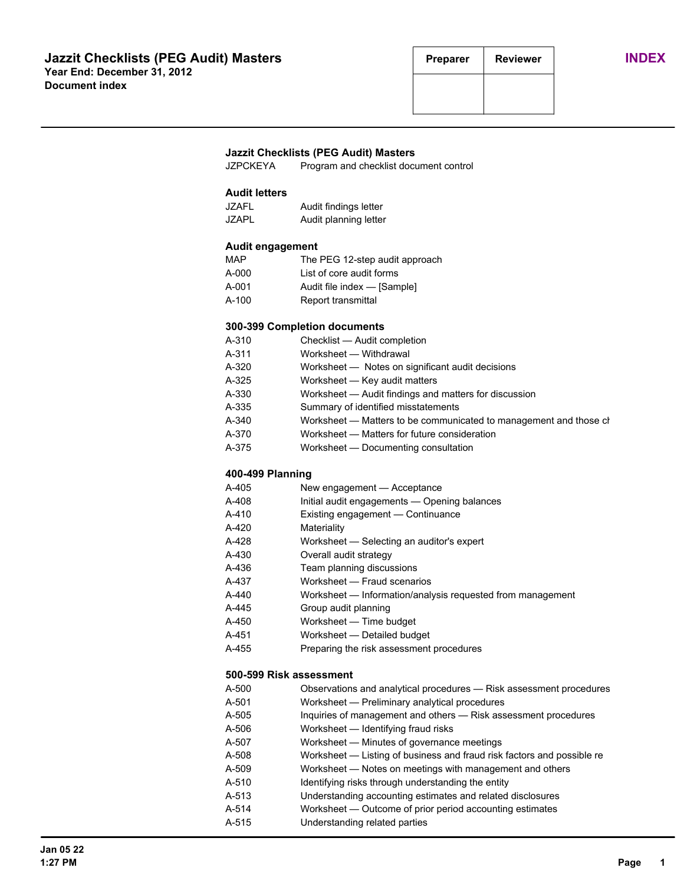#### **Jazzit Checklists (PEG Audit) Masters**

JZPCKEYA Program and checklist document control

## **Audit letters**

| JZAFL        | Audit findings letter |
|--------------|-----------------------|
| <b>JZAPL</b> | Audit planning letter |

#### **Audit engagement**

| MAP   | The PEG 12-step audit approach |
|-------|--------------------------------|
| A-000 | List of core audit forms       |
| A-001 | Audit file index - [Sample]    |
| A-100 | Report transmittal             |

#### **300-399 Completion documents**

| A-310 | Checklist - Audit completion                                      |
|-------|-------------------------------------------------------------------|
| A-311 | Worksheet - Withdrawal                                            |
| A-320 | Worksheet — Notes on significant audit decisions                  |
| A-325 | Worksheet - Key audit matters                                     |
| A-330 | Worksheet - Audit findings and matters for discussion             |
| A-335 | Summary of identified misstatements                               |
| A-340 | Worksheet - Matters to be communicated to management and those ch |
| A-370 | Worksheet – Matters for future consideration                      |
| A-375 | Worksheet - Documenting consultation                              |

### **400-499 Planning**

| A-405 | New engagement — Acceptance |  |
|-------|-----------------------------|--|
|-------|-----------------------------|--|

- A-408 Initial audit engagements Opening balances
- A-410 Existing engagement Continuance
- A-420 Materiality
- A-428 Worksheet Selecting an auditor's expert
- A-430 Overall audit strategy
- A-436 Team planning discussions
- A-437 Worksheet Fraud scenarios
- A-440 Worksheet Information/analysis requested from management
- A-445 Group audit planning
- A-450 Worksheet Time budget
- A-451 Worksheet Detailed budget
- A-455 Preparing the risk assessment procedures

#### **500-599 Risk assessment**

| A-500 | Observations and analytical procedures - Risk assessment procedures    |
|-------|------------------------------------------------------------------------|
| A-501 | Worksheet — Preliminary analytical procedures                          |
| A-505 | Inquiries of management and others — Risk assessment procedures        |
| A-506 | Worksheet - Identifying fraud risks                                    |
| A-507 | Worksheet — Minutes of governance meetings                             |
| A-508 | Worksheet — Listing of business and fraud risk factors and possible re |
| A-509 | Worksheet – Notes on meetings with management and others               |
| A-510 | Identifying risks through understanding the entity                     |
| A-513 | Understanding accounting estimates and related disclosures             |
| A-514 | Worksheet — Outcome of prior period accounting estimates               |
| A-515 | Understanding related parties                                          |
|       |                                                                        |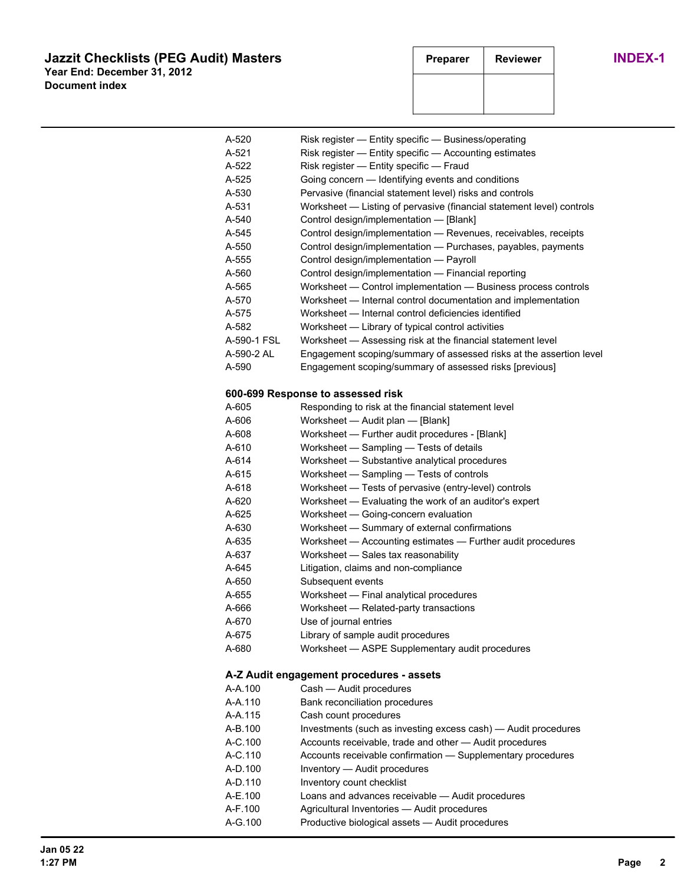# **Jazzit Checklists (PEG Audit) Masters Preparer Reviewer INDEX-1 Year End: December 31, 2012 Document index**

| A-520       | Risk register - Entity specific - Business/operating                  |
|-------------|-----------------------------------------------------------------------|
| A-521       | Risk register — Entity specific — Accounting estimates                |
| A-522       | Risk register - Entity specific - Fraud                               |
| A-525       | Going concern - Identifying events and conditions                     |
| A-530       | Pervasive (financial statement level) risks and controls              |
| A-531       | Worksheet - Listing of pervasive (financial statement level) controls |
| A-540       | Control design/implementation - [Blank]                               |
| A-545       | Control design/implementation - Revenues, receivables, receipts       |
| A-550       | Control design/implementation - Purchases, payables, payments         |
| A-555       | Control design/implementation - Payroll                               |
| A-560       | Control design/implementation - Financial reporting                   |
| A-565       | Worksheet - Control implementation - Business process controls        |
| A-570       | Worksheet - Internal control documentation and implementation         |
| A-575       | Worksheet - Internal control deficiencies identified                  |
| A-582       | Worksheet - Library of typical control activities                     |
| A-590-1 FSL | Worksheet - Assessing risk at the financial statement level           |
| A-590-2 AL  | Engagement scoping/summary of assessed risks at the assertion level   |
| A-590       | Engagement scoping/summary of assessed risks [previous]               |
|             | 600-699 Response to assessed risk                                     |
| A-605       | Responding to risk at the financial statement level                   |
| A-606       | Worksheet - Audit plan - [Blank]                                      |
| A-608       | Worksheet - Further audit procedures - [Blank]                        |
| A-610       | Worksheet - Sampling - Tests of details                               |
| A-614       | Worksheet - Substantive analytical procedures                         |
| A-615       | Worksheet - Sampling - Tests of controls                              |
| A-618       | Worksheet - Tests of pervasive (entry-level) controls                 |
| A-620       | Worksheet - Evaluating the work of an auditor's expert                |
| A-625       | Worksheet - Going-concern evaluation                                  |
| A-630       | Worksheet - Summary of external confirmations                         |
| A-635       | Worksheet - Accounting estimates - Further audit procedures           |
| A-637       | Worksheet - Sales tax reasonability                                   |
| A-645       | Litigation, claims and non-compliance                                 |
| A-650       | Subsequent events                                                     |
| A-655       | Worksheet - Final analytical procedures                               |
| A-666       | Worksheet - Related-party transactions                                |
| A-670       | Use of journal entries                                                |
| A-675       | Library of sample audit procedures                                    |
| A-680       | Worksheet - ASPE Supplementary audit procedures                       |
|             | A-Z Audit engagement procedures - assets                              |
| A-A.100     | Cash - Audit procedures                                               |
| A-A.110     | Bank reconciliation procedures                                        |
| A-A.115     | Cash count procedures                                                 |
| A-B.100     | Investments (such as investing excess cash) - Audit procedures        |
| A-C.100     | Accounts receivable, trade and other - Audit procedures               |
| A-C.110     | Accounts receivable confirmation - Supplementary procedures           |
| A-D.100     | Inventory - Audit procedures                                          |
| A-D.110     | Inventory count checklist                                             |
| A-E.100     | Loans and advances receivable - Audit procedures                      |
| A-F.100     | Agricultural Inventories - Audit procedures                           |
| A-G.100     | Productive biological assets - Audit procedures                       |
|             |                                                                       |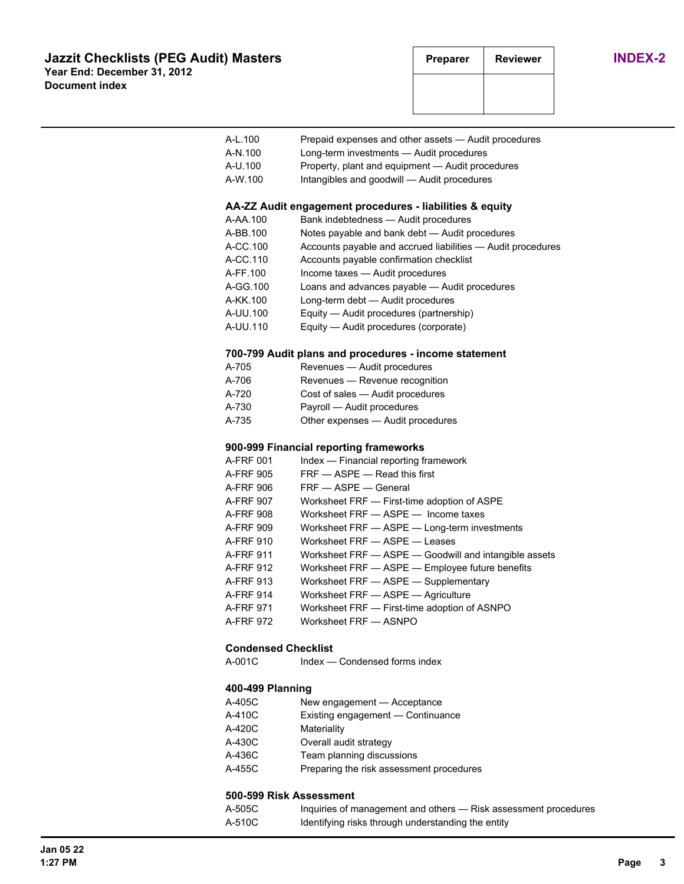|                         | A-L.100                    | Prepaid expenses and other assets - Audit procedures                  |
|-------------------------|----------------------------|-----------------------------------------------------------------------|
|                         | A-N.100                    | Long-term investments - Audit procedures                              |
|                         | A-U.100                    | Property, plant and equipment - Audit procedures                      |
|                         | A-W.100                    | Intangibles and goodwill - Audit procedures                           |
|                         |                            |                                                                       |
|                         |                            | AA-ZZ Audit engagement procedures - liabilities & equity              |
|                         | A-AA.100                   | Bank indebtedness - Audit procedures                                  |
|                         | A-BB.100                   | Notes payable and bank debt - Audit procedures                        |
|                         | A-CC.100                   | Accounts payable and accrued liabilities - Audit procedures           |
|                         | A-CC.110                   | Accounts payable confirmation checklist                               |
|                         | A-FF.100                   | Income taxes - Audit procedures                                       |
|                         | A-GG.100                   | Loans and advances payable - Audit procedures                         |
|                         | A-KK.100                   | Long-term debt - Audit procedures                                     |
|                         | A-UU.100                   | Equity - Audit procedures (partnership)                               |
|                         | A-UU.110                   | Equity - Audit procedures (corporate)                                 |
|                         |                            | 700-799 Audit plans and procedures - income statement                 |
|                         | A-705                      | Revenues - Audit procedures                                           |
|                         | A-706                      | Revenues - Revenue recognition                                        |
|                         | A-720                      | Cost of sales - Audit procedures                                      |
|                         | A-730                      | Payroll - Audit procedures                                            |
|                         | A-735                      | Other expenses - Audit procedures                                     |
|                         |                            |                                                                       |
|                         |                            | 900-999 Financial reporting frameworks                                |
|                         | A-FRF 001                  | Index - Financial reporting framework<br>FRF - ASPE - Read this first |
|                         | A-FRF 905                  | FRF - ASPE - General                                                  |
|                         | A-FRF 906                  | Worksheet FRF - First-time adoption of ASPE                           |
|                         | A-FRF 907                  | Worksheet FRF - ASPE - Income taxes                                   |
|                         | A-FRF 908                  | Worksheet FRF - ASPE - Long-term investments                          |
|                         | A-FRF 909<br>A-FRF 910     | Worksheet FRF - ASPE - Leases                                         |
|                         | A-FRF 911                  | Worksheet FRF - ASPE - Goodwill and intangible assets                 |
|                         | A-FRF 912                  | Worksheet FRF - ASPE - Employee future benefits                       |
|                         | A-FRF 913                  | Worksheet FRF - ASPE - Supplementary                                  |
|                         | A-FRF 914                  | Worksheet FRF - ASPE - Agriculture                                    |
|                         | A-FRF 971                  | Worksheet FRF - First-time adoption of ASNPO                          |
|                         | A-FRF 972                  | Worksheet FRF - ASNPO                                                 |
|                         |                            |                                                                       |
|                         | <b>Condensed Checklist</b> |                                                                       |
|                         | A-001C                     | Index — Condensed forms index                                         |
|                         | 400-499 Planning           |                                                                       |
|                         | A-405C                     | New engagement - Acceptance                                           |
|                         | A-410C                     | Existing engagement - Continuance                                     |
|                         | A-420C                     | Materiality                                                           |
|                         | A-430C                     | Overall audit strategy                                                |
|                         | A-436C                     | Team planning discussions                                             |
|                         | A-455C                     | Preparing the risk assessment procedures                              |
|                         |                            |                                                                       |
| 500-599 Risk Assessment |                            |                                                                       |
|                         | A-505C                     | Inquiries of management and others - Risk assessment procedures       |
|                         | A-510C                     | Identifying risks through understanding the entity                    |
|                         |                            |                                                                       |
|                         |                            |                                                                       |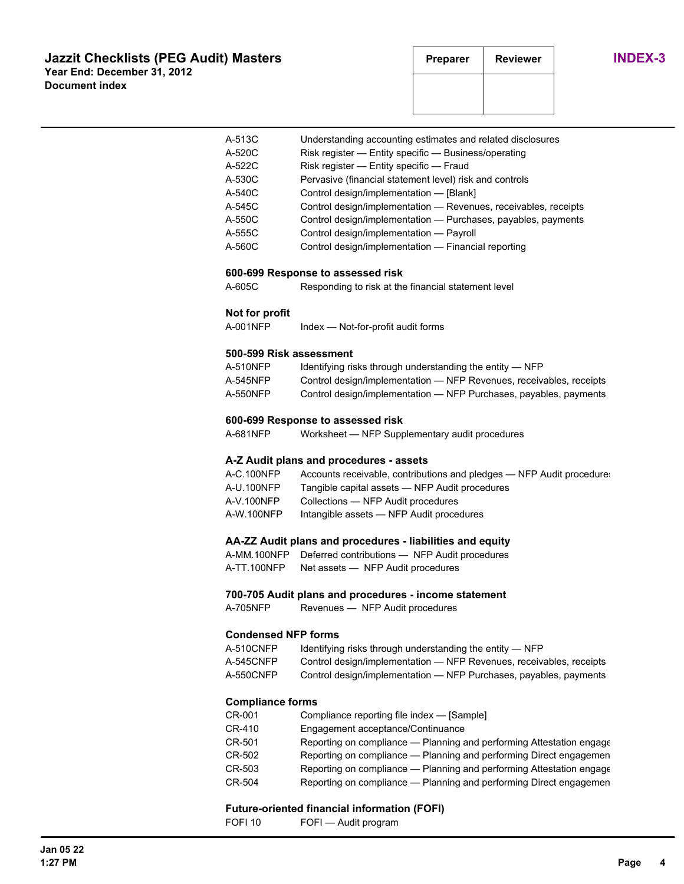| A-513C | Understanding accounting estimates and related disclosures      |
|--------|-----------------------------------------------------------------|
| A-520C | Risk register — Entity specific — Business/operating            |
| A-522C | Risk register - Entity specific - Fraud                         |
| A-530C | Pervasive (financial statement level) risk and controls         |
| A-540C | Control design/implementation - [Blank]                         |
| A-545C | Control design/implementation — Revenues, receivables, receipts |
| A-550C | Control design/implementation - Purchases, payables, payments   |
| A-555C | Control design/implementation - Payroll                         |
| A-560C | Control design/implementation - Financial reporting             |
|        |                                                                 |

#### **600-699 Response to assessed risk**

A-605C Responding to risk at the financial statement level

### **Not for profit**

A-001NFP Index - Not-for-profit audit forms

#### **500-599 Risk assessment**

| A-510NFP | Identifying risks through understanding the entity $-$ NFP          |
|----------|---------------------------------------------------------------------|
| A-545NFP | Control design/implementation — NFP Revenues, receivables, receipts |
| A-550NFP | Control design/implementation — NFP Purchases, payables, payments   |

#### **600-699 Response to assessed risk**

A-681NFP Worksheet — NFP Supplementary audit procedures

## **A-Z Audit plans and procedures - assets**

| A-C.100NFP | Accounts receivable, contributions and pledges — NFP Audit procedure |
|------------|----------------------------------------------------------------------|
| A-U.100NFP | Tangible capital assets — NFP Audit procedures                       |
| A-V.100NFP | Collections — NFP Audit procedures                                   |
| A-W.100NFP | Intangible assets — NFP Audit procedures                             |

#### **AA-ZZ Audit plans and procedures - liabilities and equity**

|             | A-MM.100NFP Deferred contributions - NFP Audit procedures |
|-------------|-----------------------------------------------------------|
| A-TT.100NFP | Net assets — NFP Audit procedures                         |

#### **700-705 Audit plans and procedures - income statement**

A-705NFP Revenues — NFP Audit procedures

### **Condensed NFP forms**

| A-510CNFP | Identifying risks through understanding the entity $-$ NFP          |
|-----------|---------------------------------------------------------------------|
| A-545CNFP | Control design/implementation — NFP Revenues, receivables, receipts |
| A-550CNFP | Control design/implementation — NFP Purchases, payables, payments   |

#### **Compliance forms**

| CR-001 | Compliance reporting file index — [Sample]                           |
|--------|----------------------------------------------------------------------|
| CR-410 | Engagement acceptance/Continuance                                    |
| CR-501 | Reporting on compliance - Planning and performing Attestation engage |
| CR-502 | Reporting on compliance — Planning and performing Direct engagemen   |
| CR-503 | Reporting on compliance — Planning and performing Attestation engage |
| CR-504 | Reporting on compliance — Planning and performing Direct engagemen   |

#### **Future-oriented financial information (FOFI)**

FOFI 10 FOFI — Audit program